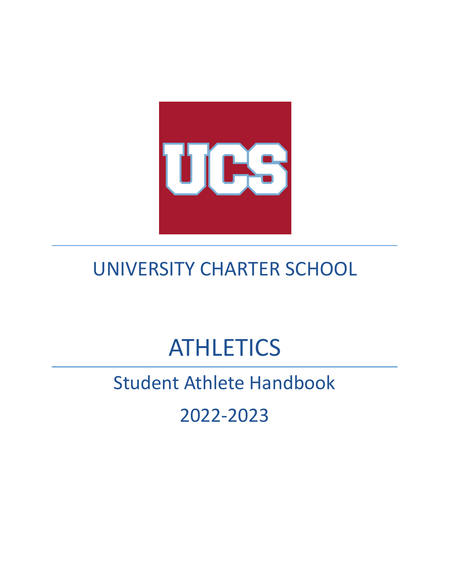

## UNIVERSITY CHARTER SCHOOL

# **ATHLETICS**

## Student Athlete Handbook

2022-2023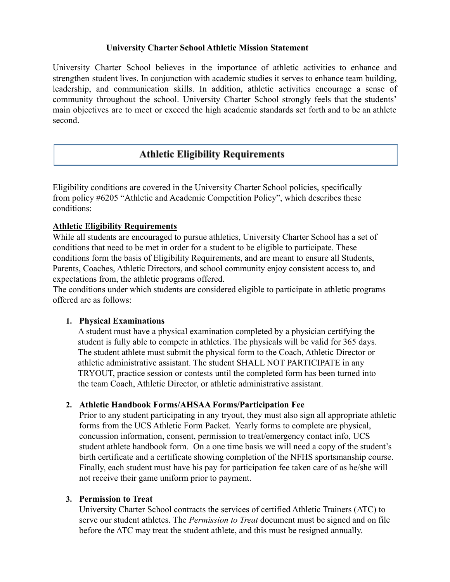#### **University Charter School Athletic Mission Statement**

University Charter School believes in the importance of athletic activities to enhance and strengthen student lives. In conjunction with academic studies it serves to enhance team building, leadership, and communication skills. In addition, athletic activities encourage a sense of community throughout the school. University Charter School strongly feels that the students' main objectives are to meet or exceed the high academic standards set forth and to be an athlete second.

## **Athletic Eligibility Requirements**

Eligibility conditions are covered in the University Charter School policies, specifically from policy #6205 "Athletic and Academic Competition Policy", which describes these conditions:

#### **Athletic Eligibility Requirements**

While all students are encouraged to pursue athletics, University Charter School has a set of conditions that need to be met in order for a student to be eligible to participate. These conditions form the basis of Eligibility Requirements, and are meant to ensure all Students, Parents, Coaches, Athletic Directors, and school community enjoy consistent access to, and expectations from, the athletic programs offered.

The conditions under which students are considered eligible to participate in athletic programs offered are as follows:

#### **1. Physical Examinations**

A student must have a physical examination completed by a physician certifying the student is fully able to compete in athletics. The physicals will be valid for 365 days. The student athlete must submit the physical form to the Coach, Athletic Director or athletic administrative assistant. The student SHALL NOT PARTICIPATE in any TRYOUT, practice session or contests until the completed form has been turned into the team Coach, Athletic Director, or athletic administrative assistant.

#### **2. Athletic Handbook Forms/AHSAA Forms/Participation Fee**

Prior to any student participating in any tryout, they must also sign all appropriate athletic forms from the UCS Athletic Form Packet. Yearly forms to complete are physical, concussion information, consent, permission to treat/emergency contact info, UCS student athlete handbook form. On a one time basis we will need a copy of the student's birth certificate and a certificate showing completion of the NFHS sportsmanship course. Finally, each student must have his pay for participation fee taken care of as he/she will not receive their game uniform prior to payment.

#### **3. Permission to Treat**

University Charter School contracts the services of certified Athletic Trainers (ATC) to serve our student athletes. The *Permission to Treat* document must be signed and on file before the ATC may treat the student athlete, and this must be resigned annually.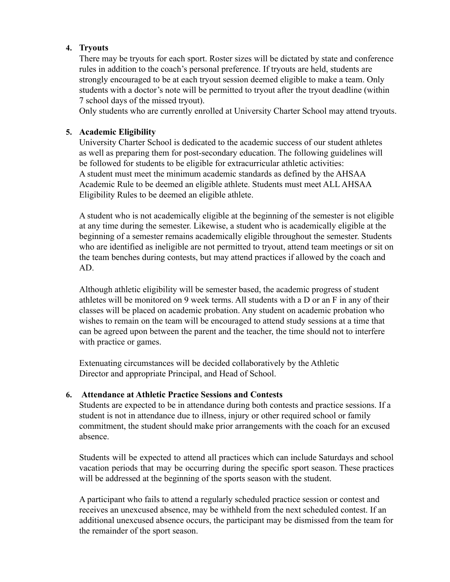#### **4. Tryouts**

There may be tryouts for each sport. Roster sizes will be dictated by state and conference rules in addition to the coach's personal preference. If tryouts are held, students are strongly encouraged to be at each tryout session deemed eligible to make a team. Only students with a doctor's note will be permitted to tryout after the tryout deadline (within 7 school days of the missed tryout).

Only students who are currently enrolled at University Charter School may attend tryouts.

#### **5. Academic Eligibility**

University Charter School is dedicated to the academic success of our student athletes as well as preparing them for post-secondary education. The following guidelines will be followed for students to be eligible for extracurricular athletic activities: A student must meet the minimum academic standards as defined by the AHSAA Academic Rule to be deemed an eligible athlete. Students must meet ALL AHSAA Eligibility Rules to be deemed an eligible athlete.

A student who is not academically eligible at the beginning of the semester is not eligible at any time during the semester. Likewise, a student who is academically eligible at the beginning of a semester remains academically eligible throughout the semester. Students who are identified as ineligible are not permitted to tryout, attend team meetings or sit on the team benches during contests, but may attend practices if allowed by the coach and AD.

Although athletic eligibility will be semester based, the academic progress of student athletes will be monitored on 9 week terms. All students with a D or an F in any of their classes will be placed on academic probation. Any student on academic probation who wishes to remain on the team will be encouraged to attend study sessions at a time that can be agreed upon between the parent and the teacher, the time should not to interfere with practice or games.

Extenuating circumstances will be decided collaboratively by the Athletic Director and appropriate Principal, and Head of School.

#### **6. Attendance at Athletic Practice Sessions and Contests**

Students are expected to be in attendance during both contests and practice sessions. If a student is not in attendance due to illness, injury or other required school or family commitment, the student should make prior arrangements with the coach for an excused absence.

Students will be expected to attend all practices which can include Saturdays and school vacation periods that may be occurring during the specific sport season. These practices will be addressed at the beginning of the sports season with the student.

A participant who fails to attend a regularly scheduled practice session or contest and receives an unexcused absence, may be withheld from the next scheduled contest. If an additional unexcused absence occurs, the participant may be dismissed from the team for the remainder of the sport season.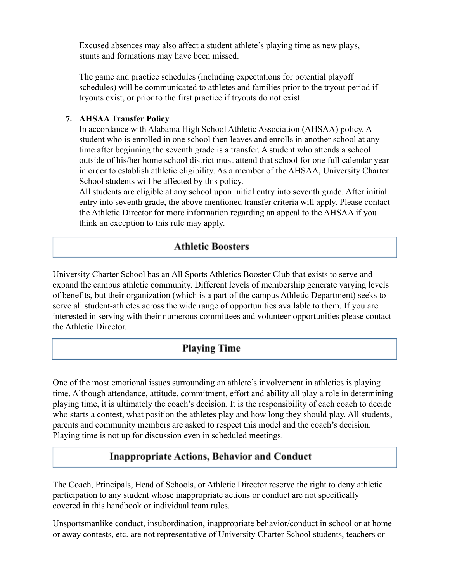Excused absences may also affect a student athlete's playing time as new plays, stunts and formations may have been missed.

The game and practice schedules (including expectations for potential playoff schedules) will be communicated to athletes and families prior to the tryout period if tryouts exist, or prior to the first practice if tryouts do not exist.

#### **7. AHSAA Transfer Policy**

In accordance with Alabama High School Athletic Association (AHSAA) policy, A student who is enrolled in one school then leaves and enrolls in another school at any time after beginning the seventh grade is a transfer. A student who attends a school outside of his/her home school district must attend that school for one full calendar year in order to establish athletic eligibility. As a member of the AHSAA, University Charter School students will be affected by this policy.

All students are eligible at any school upon initial entry into seventh grade. After initial entry into seventh grade, the above mentioned transfer criteria will apply. Please contact the Athletic Director for more information regarding an appeal to the AHSAA if you think an exception to this rule may apply.

## **Athletic Boosters**

University Charter School has an All Sports Athletics Booster Club that exists to serve and expand the campus athletic community. Different levels of membership generate varying levels of benefits, but their organization (which is a part of the campus Athletic Department) seeks to serve all student-athletes across the wide range of opportunities available to them. If you are interested in serving with their numerous committees and volunteer opportunities please contact the Athletic Director.

## **Playing Time**

One of the most emotional issues surrounding an athlete's involvement in athletics is playing time. Although attendance, attitude, commitment, effort and ability all play a role in determining playing time, it is ultimately the coach's decision. It is the responsibility of each coach to decide who starts a contest, what position the athletes play and how long they should play. All students, parents and community members are asked to respect this model and the coach's decision. Playing time is not up for discussion even in scheduled meetings.

## **Inappropriate Actions, Behavior and Conduct**

The Coach, Principals, Head of Schools, or Athletic Director reserve the right to deny athletic participation to any student whose inappropriate actions or conduct are not specifically covered in this handbook or individual team rules.

Unsportsmanlike conduct, insubordination, inappropriate behavior/conduct in school or at home or away contests, etc. are not representative of University Charter School students, teachers or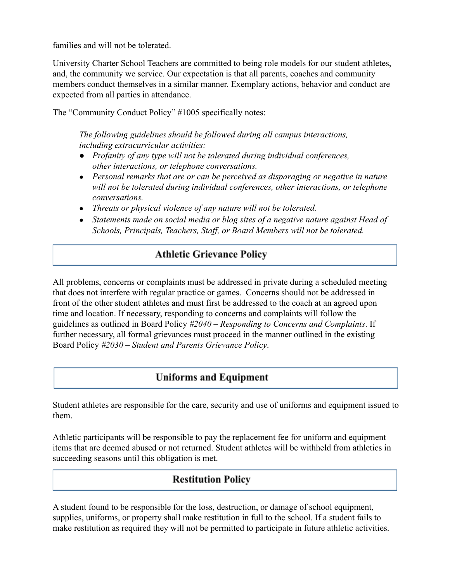families and will not be tolerated.

University Charter School Teachers are committed to being role models for our student athletes, and, the community we service. Our expectation is that all parents, coaches and community members conduct themselves in a similar manner. Exemplary actions, behavior and conduct are expected from all parties in attendance.

The "Community Conduct Policy" #1005 specifically notes:

*The following guidelines should be followed during all campus interactions, including extracurricular activities:*

- *● Profanity of any type will not be tolerated during individual conferences, other interactions, or telephone conversations.*
- *● Personal remarks that are or can be perceived as disparaging or negative in nature will not be tolerated during individual conferences, other interactions, or telephone conversations.*
- *● Threats or physical violence of any nature will not be tolerated.*
- *● Statements made on social media or blog sites of a negative nature against Head of Schools, Principals, Teachers, Staff, or Board Members will not be tolerated.*

## **Athletic Grievance Policy**

All problems, concerns or complaints must be addressed in private during a scheduled meeting that does not interfere with regular practice or games. Concerns should not be addressed in front of the other student athletes and must first be addressed to the coach at an agreed upon time and location. If necessary, responding to concerns and complaints will follow the guidelines as outlined in Board Policy *#2040 – Responding to Concerns and Complaints*. If further necessary, all formal grievances must proceed in the manner outlined in the existing Board Policy *#2030 – Student and Parents Grievance Policy*.

## **Uniforms and Equipment**

Student athletes are responsible for the care, security and use of uniforms and equipment issued to them.

Athletic participants will be responsible to pay the replacement fee for uniform and equipment items that are deemed abused or not returned. Student athletes will be withheld from athletics in succeeding seasons until this obligation is met.

## **Restitution Policy**

A student found to be responsible for the loss, destruction, or damage of school equipment, supplies, uniforms, or property shall make restitution in full to the school. If a student fails to make restitution as required they will not be permitted to participate in future athletic activities.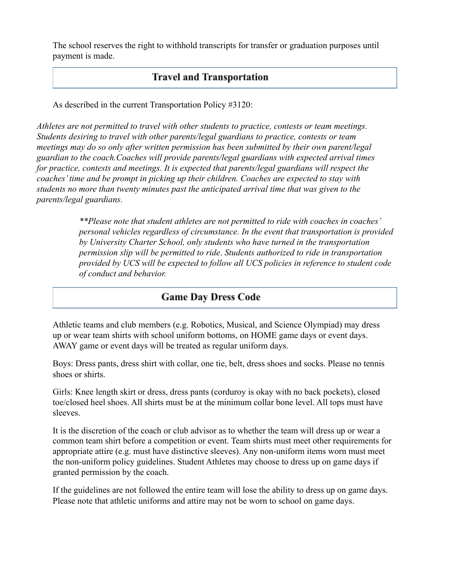The school reserves the right to withhold transcripts for transfer or graduation purposes until payment is made.

## **Travel and Transportation**

As described in the current Transportation Policy #3120:

*Athletes are not permitted to travel with other students to practice, contests or team meetings. Students desiring to travel with other parents/legal guardians to practice, contests or team meetings may do so only after written permission has been submitted by their own parent/legal guardian to the coach.Coaches will provide parents/legal guardians with expected arrival times for practice, contests and meetings. It is expected that parents/legal guardians will respect the coaches' time and be prompt in picking up their children. Coaches are expected to stay with students no more than twenty minutes past the anticipated arrival time that was given to the parents/legal guardians.*

> *\*\*Please note that student athletes are not permitted to ride with coaches in coaches' personal vehicles regardless of circumstance. In the event that transportation is provided by University Charter School, only students who have turned in the transportation permission slip will be permitted to ride*. *Students authorized to ride in transportation provided by UCS will be expected to follow all UCS policies in reference to student code of conduct and behavior.*

## **Game Day Dress Code**

Athletic teams and club members (e.g. Robotics, Musical, and Science Olympiad) may dress up or wear team shirts with school uniform bottoms, on HOME game days or event days. AWAY game or event days will be treated as regular uniform days.

Boys: Dress pants, dress shirt with collar, one tie, belt, dress shoes and socks. Please no tennis shoes or shirts.

Girls: Knee length skirt or dress, dress pants (corduroy is okay with no back pockets), closed toe/closed heel shoes. All shirts must be at the minimum collar bone level. All tops must have sleeves.

It is the discretion of the coach or club advisor as to whether the team will dress up or wear a common team shirt before a competition or event. Team shirts must meet other requirements for appropriate attire (e.g. must have distinctive sleeves). Any non-uniform items worn must meet the non-uniform policy guidelines. Student Athletes may choose to dress up on game days if granted permission by the coach.

If the guidelines are not followed the entire team will lose the ability to dress up on game days. Please note that athletic uniforms and attire may not be worn to school on game days.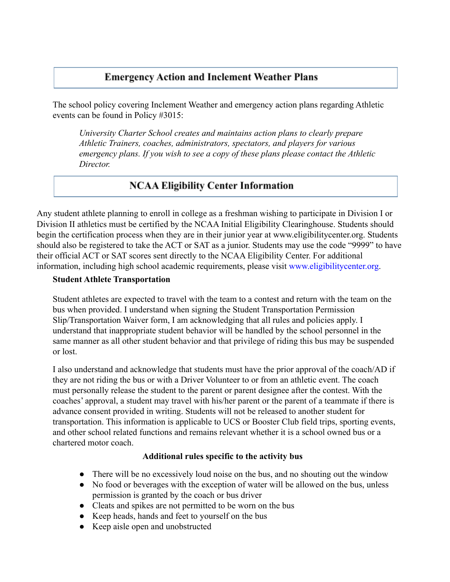## **Emergency Action and Inclement Weather Plans**

The school policy covering Inclement Weather and emergency action plans regarding Athletic events can be found in Policy #3015:

*University Charter School creates and maintains action plans to clearly prepare Athletic Trainers, coaches, administrators, spectators, and players for various emergency plans. If you wish to see a copy of these plans please contact the Athletic Director.*

## **NCAA Eligibility Center Information**

Any student athlete planning to enroll in college as a freshman wishing to participate in Division I or Division II athletics must be certified by the NCAA Initial Eligibility Clearinghouse. Students should begin the certification process when they are in their junior year at [www.eligibilitycenter.org.](http://www.eligibilitycenter.org/) Students should also be registered to take the ACT or SAT as a junior. Students may use the code "9999" to have their official ACT or SAT scores sent directly to the NCAA Eligibility Center. For additional information, including high school academic requirements, please visit [www.eligibilitycenter.org.](http://www.eligibilitycenter.org/)

#### **Student Athlete Transportation**

Student athletes are expected to travel with the team to a contest and return with the team on the bus when provided. I understand when signing the Student Transportation Permission Slip/Transportation Waiver form, I am acknowledging that all rules and policies apply. I understand that inappropriate student behavior will be handled by the school personnel in the same manner as all other student behavior and that privilege of riding this bus may be suspended or lost.

I also understand and acknowledge that students must have the prior approval of the coach/AD if they are not riding the bus or with a Driver Volunteer to or from an athletic event. The coach must personally release the student to the parent or parent designee after the contest. With the coaches' approval, a student may travel with his/her parent or the parent of a teammate if there is advance consent provided in writing. Students will not be released to another student for transportation. This information is applicable to UCS or Booster Club field trips, sporting events, and other school related functions and remains relevant whether it is a school owned bus or a chartered motor coach.

### **Additional rules specific to the activity bus**

- There will be no excessively loud noise on the bus, and no shouting out the window
- No food or beverages with the exception of water will be allowed on the bus, unless permission is granted by the coach or bus driver
- Cleats and spikes are not permitted to be worn on the bus
- Keep heads, hands and feet to yourself on the bus
- Keep aisle open and unobstructed